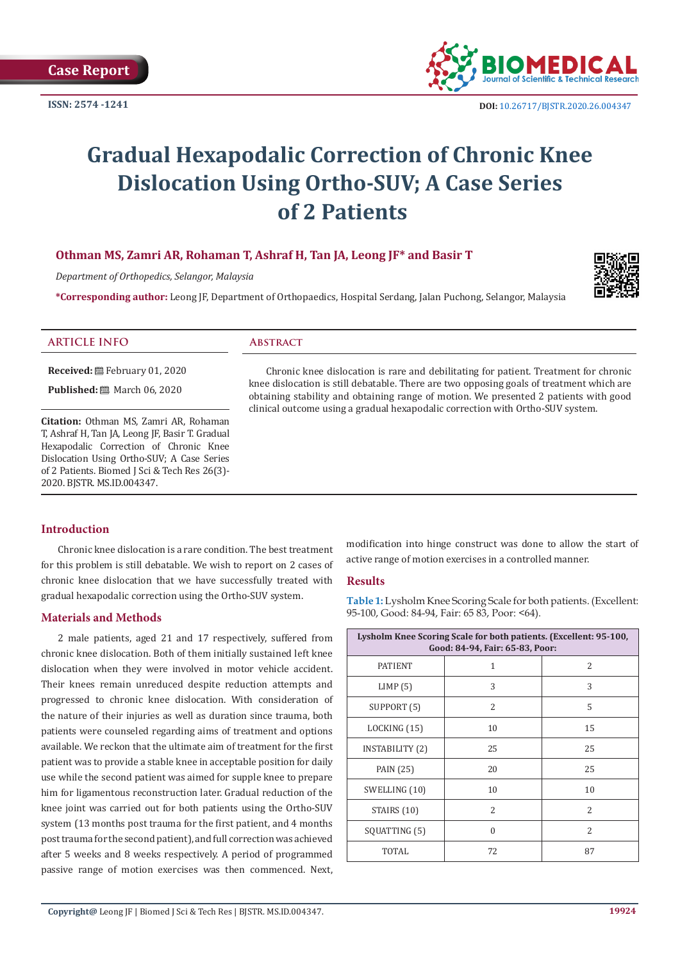

# **Gradual Hexapodalic Correction of Chronic Knee Dislocation Using Ortho-SUV; A Case Series of 2 Patients**

# **Othman MS, Zamri AR, Rohaman T, Ashraf H, Tan JA, Leong JF\* and Basir T**

*Department of Orthopedics, Selangor, Malaysia*

**\*Corresponding author:** Leong JF, Department of Orthopaedics, Hospital Serdang, Jalan Puchong, Selangor, Malaysia



#### **ARTICLE INFO Abstract**

**Received:** February 01, 2020

**Published:** ■ March 06, 2020

**Citation:** Othman MS, Zamri AR, Rohaman T, Ashraf H, Tan JA, Leong JF, Basir T. Gradual Hexapodalic Correction of Chronic Knee Dislocation Using Ortho-SUV; A Case Series of 2 Patients. Biomed J Sci & Tech Res 26(3)- 2020. BJSTR. MS.ID.004347.

Chronic knee dislocation is rare and debilitating for patient. Treatment for chronic knee dislocation is still debatable. There are two opposing goals of treatment which are obtaining stability and obtaining range of motion. We presented 2 patients with good clinical outcome using a gradual hexapodalic correction with Ortho-SUV system.

### **Introduction**

Chronic knee dislocation is a rare condition. The best treatment for this problem is still debatable. We wish to report on 2 cases of chronic knee dislocation that we have successfully treated with gradual hexapodalic correction using the Ortho-SUV system.

### **Materials and Methods**

2 male patients, aged 21 and 17 respectively, suffered from chronic knee dislocation. Both of them initially sustained left knee dislocation when they were involved in motor vehicle accident. Their knees remain unreduced despite reduction attempts and progressed to chronic knee dislocation. With consideration of the nature of their injuries as well as duration since trauma, both patients were counseled regarding aims of treatment and options available. We reckon that the ultimate aim of treatment for the first patient was to provide a stable knee in acceptable position for daily use while the second patient was aimed for supple knee to prepare him for ligamentous reconstruction later. Gradual reduction of the knee joint was carried out for both patients using the Ortho-SUV system (13 months post trauma for the first patient, and 4 months post trauma for the second patient), and full correction was achieved after 5 weeks and 8 weeks respectively. A period of programmed passive range of motion exercises was then commenced. Next,

modification into hinge construct was done to allow the start of active range of motion exercises in a controlled manner.

## **Results**

**Table 1:** Lysholm Knee Scoring Scale for both patients. (Excellent: 95-100, Good: 84-94, Fair: 65 83, Poor: <64).

| Lysholm Knee Scoring Scale for both patients. (Excellent: 95-100,<br>Good: 84-94, Fair: 65-83, Poor: |                          |               |
|------------------------------------------------------------------------------------------------------|--------------------------|---------------|
| <b>PATIENT</b>                                                                                       | 1                        | 2             |
| LIMP(5)                                                                                              | 3                        | 3             |
| SUPPORT (5)                                                                                          | 2                        | 5             |
| LOCKING (15)                                                                                         | 10                       | 15            |
| INSTABILITY (2)                                                                                      | 25                       | 25            |
| PAIN (25)                                                                                            | 20                       | 25            |
| SWELLING (10)                                                                                        | 10                       | 10            |
| STAIRS (10)                                                                                          | $\overline{\mathcal{L}}$ | $\mathcal{L}$ |
| SQUATTING (5)                                                                                        | $\Omega$                 | 2             |
| <b>TOTAL</b>                                                                                         | 72                       | 87            |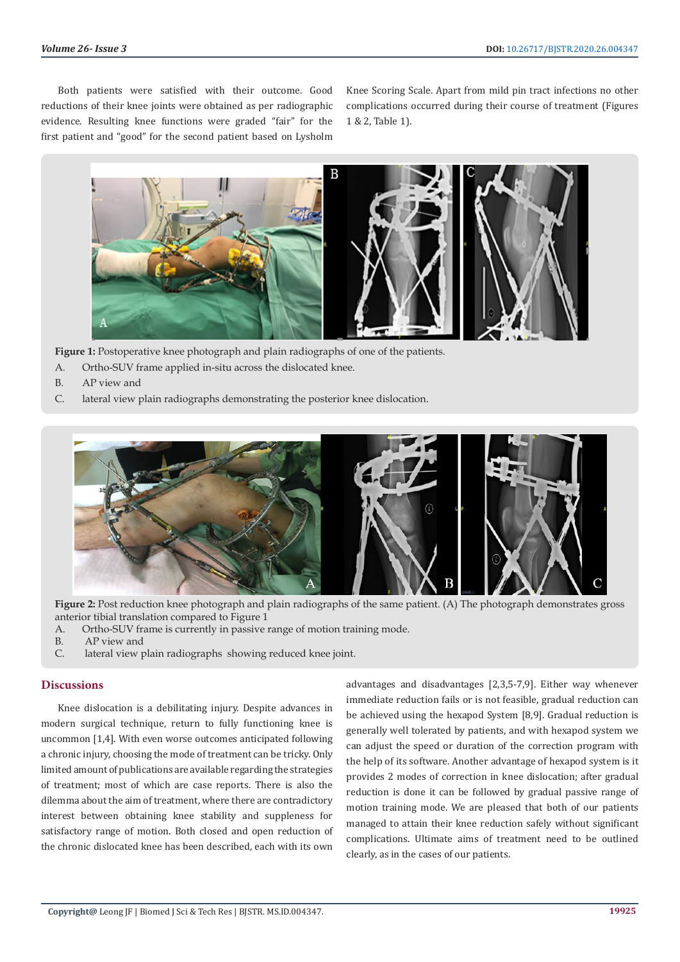Both patients were satisfied with their outcome. Good reductions of their knee joints were obtained as per radiographic evidence. Resulting knee functions were graded "fair" for the first patient and "good" for the second patient based on Lysholm

Knee Scoring Scale. Apart from mild pin tract infections no other complications occurred during their course of treatment (Figures 1 & 2, Table 1).



**Figure 1:** Postoperative knee photograph and plain radiographs of one of the patients.

- A. Ortho-SUV frame applied in-situ across the dislocated knee.
- B. AP view and
- C. lateral view plain radiographs demonstrating the posterior knee dislocation.



**Figure 2:** Post reduction knee photograph and plain radiographs of the same patient. (A) The photograph demonstrates gross anterior tibial translation compared to Figure 1

- A. Ortho-SUV frame is currently in passive range of motion training mode.
- B. AP view and
- C. lateral view plain radiographs showing reduced knee joint.

#### **Discussions**

Knee dislocation is a debilitating injury. Despite advances in modern surgical technique, return to fully functioning knee is uncommon [1,4]. With even worse outcomes anticipated following a chronic injury, choosing the mode of treatment can be tricky. Only limited amount of publications are available regarding the strategies of treatment; most of which are case reports. There is also the dilemma about the aim of treatment, where there are contradictory interest between obtaining knee stability and suppleness for satisfactory range of motion. Both closed and open reduction of the chronic dislocated knee has been described, each with its own

advantages and disadvantages [2,3,5-7,9]. Either way whenever immediate reduction fails or is not feasible, gradual reduction can be achieved using the hexapod System [8,9]. Gradual reduction is generally well tolerated by patients, and with hexapod system we can adjust the speed or duration of the correction program with the help of its software. Another advantage of hexapod system is it provides 2 modes of correction in knee dislocation; after gradual reduction is done it can be followed by gradual passive range of motion training mode. We are pleased that both of our patients managed to attain their knee reduction safely without significant complications. Ultimate aims of treatment need to be outlined clearly, as in the cases of our patients.